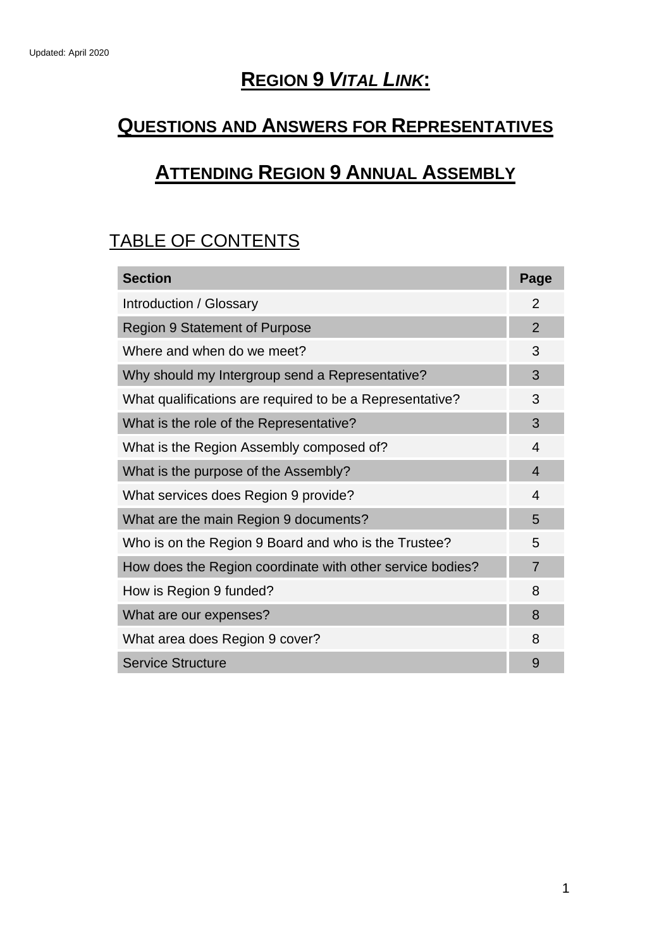# **REGION 9** *VITAL LINK***:**

# **QUESTIONS AND ANSWERS FOR REPRESENTATIVES**

# **ATTENDING REGION 9 ANNUAL ASSEMBLY**

# TABLE OF CONTENTS

| <b>Section</b>                                            | Page           |
|-----------------------------------------------------------|----------------|
| Introduction / Glossary                                   |                |
| <b>Region 9 Statement of Purpose</b>                      |                |
| Where and when do we meet?                                | 3              |
| Why should my Intergroup send a Representative?           | 3              |
| What qualifications are required to be a Representative?  | 3              |
| What is the role of the Representative?                   | 3              |
| What is the Region Assembly composed of?                  | 4              |
| What is the purpose of the Assembly?                      | $\overline{4}$ |
| What services does Region 9 provide?                      | 4              |
| What are the main Region 9 documents?                     | 5              |
| Who is on the Region 9 Board and who is the Trustee?      | 5              |
| How does the Region coordinate with other service bodies? | $\overline{7}$ |
| How is Region 9 funded?                                   | 8              |
| What are our expenses?                                    | 8              |
| What area does Region 9 cover?                            | 8              |
| <b>Service Structure</b>                                  | 9              |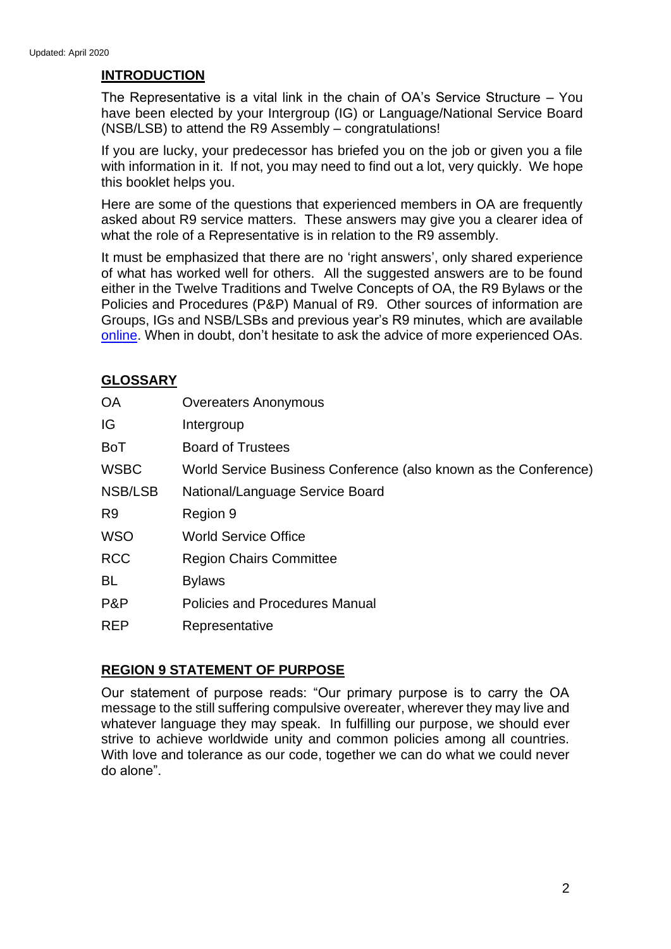# **INTRODUCTION**

The Representative is a vital link in the chain of OA's Service Structure – You have been elected by your Intergroup (IG) or Language/National Service Board (NSB/LSB) to attend the R9 Assembly – congratulations!

If you are lucky, your predecessor has briefed you on the job or given you a file with information in it. If not, you may need to find out a lot, very quickly. We hope this booklet helps you.

Here are some of the questions that experienced members in OA are frequently asked about R9 service matters. These answers may give you a clearer idea of what the role of a Representative is in relation to the R9 assembly.

It must be emphasized that there are no 'right answers', only shared experience of what has worked well for others. All the suggested answers are to be found either in the Twelve Traditions and Twelve Concepts of OA, the R9 Bylaws or the Policies and Procedures (P&P) Manual of R9. Other sources of information are Groups, IGs and NSB/LSBs and previous year's R9 minutes, which are available [online.](http://www.oaregion9.org/region-9-membersgroups/region-9-assembly/) When in doubt, don't hesitate to ask the advice of more experienced OAs.

# **GLOSSARY**

| <b>OA</b>      | <b>Overeaters Anonymous</b>                                      |
|----------------|------------------------------------------------------------------|
| IG             | Intergroup                                                       |
| <b>BoT</b>     | <b>Board of Trustees</b>                                         |
| <b>WSBC</b>    | World Service Business Conference (also known as the Conference) |
| NSB/LSB        | National/Language Service Board                                  |
| R <sub>9</sub> | Region 9                                                         |
| <b>WSO</b>     | <b>World Service Office</b>                                      |
| <b>RCC</b>     | <b>Region Chairs Committee</b>                                   |
| <b>BL</b>      | <b>Bylaws</b>                                                    |
| P&P            | <b>Policies and Procedures Manual</b>                            |
| <b>REP</b>     | Representative                                                   |
|                |                                                                  |

#### **REGION 9 STATEMENT OF PURPOSE**

Our statement of purpose reads: "Our primary purpose is to carry the OA message to the still suffering compulsive overeater, wherever they may live and whatever language they may speak. In fulfilling our purpose, we should ever strive to achieve worldwide unity and common policies among all countries. With love and tolerance as our code, together we can do what we could never do alone".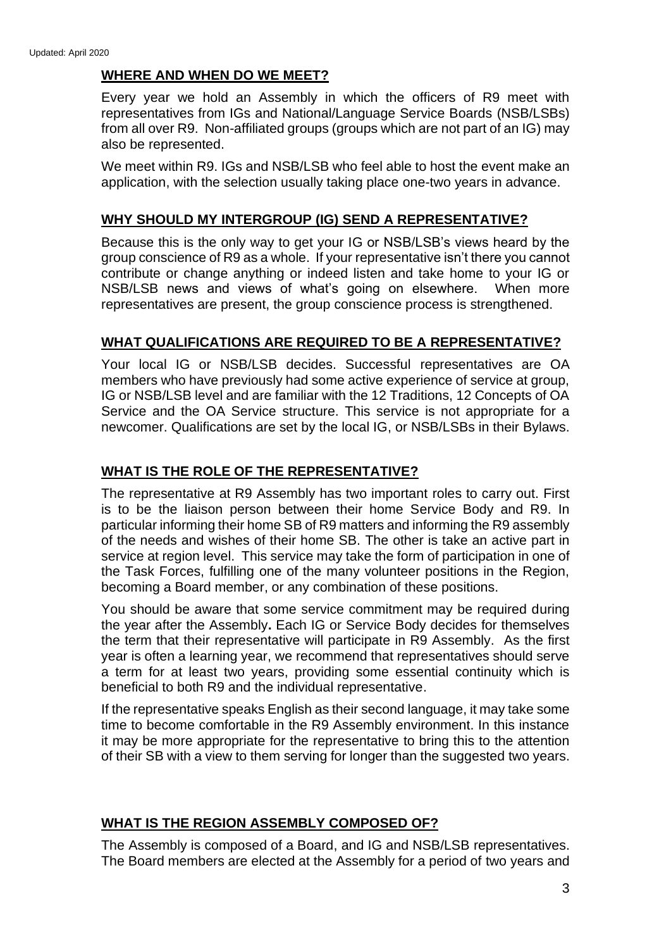### **WHERE AND WHEN DO WE MEET?**

Every year we hold an Assembly in which the officers of R9 meet with representatives from IGs and National/Language Service Boards (NSB/LSBs) from all over R9. Non-affiliated groups (groups which are not part of an IG) may also be represented.

We meet within R9. IGs and NSB/LSB who feel able to host the event make an application, with the selection usually taking place one-two years in advance.

#### **WHY SHOULD MY INTERGROUP (IG) SEND A REPRESENTATIVE?**

Because this is the only way to get your IG or NSB/LSB's views heard by the group conscience of R9 as a whole. If your representative isn't there you cannot contribute or change anything or indeed listen and take home to your IG or NSB/LSB news and views of what's going on elsewhere. When more representatives are present, the group conscience process is strengthened.

#### **WHAT QUALIFICATIONS ARE REQUIRED TO BE A REPRESENTATIVE?**

Your local IG or NSB/LSB decides. Successful representatives are OA members who have previously had some active experience of service at group, IG or NSB/LSB level and are familiar with the 12 Traditions, 12 Concepts of OA Service and the OA Service structure. This service is not appropriate for a newcomer. Qualifications are set by the local IG, or NSB/LSBs in their Bylaws.

#### **WHAT IS THE ROLE OF THE REPRESENTATIVE?**

The representative at R9 Assembly has two important roles to carry out. First is to be the liaison person between their home Service Body and R9. In particular informing their home SB of R9 matters and informing the R9 assembly of the needs and wishes of their home SB. The other is take an active part in service at region level. This service may take the form of participation in one of the Task Forces, fulfilling one of the many volunteer positions in the Region, becoming a Board member, or any combination of these positions.

You should be aware that some service commitment may be required during the year after the Assembly**.** Each IG or Service Body decides for themselves the term that their representative will participate in R9 Assembly. As the first year is often a learning year, we recommend that representatives should serve a term for at least two years, providing some essential continuity which is beneficial to both R9 and the individual representative.

If the representative speaks English as their second language, it may take some time to become comfortable in the R9 Assembly environment. In this instance it may be more appropriate for the representative to bring this to the attention of their SB with a view to them serving for longer than the suggested two years.

#### **WHAT IS THE REGION ASSEMBLY COMPOSED OF?**

The Assembly is composed of a Board, and IG and NSB/LSB representatives. The Board members are elected at the Assembly for a period of two years and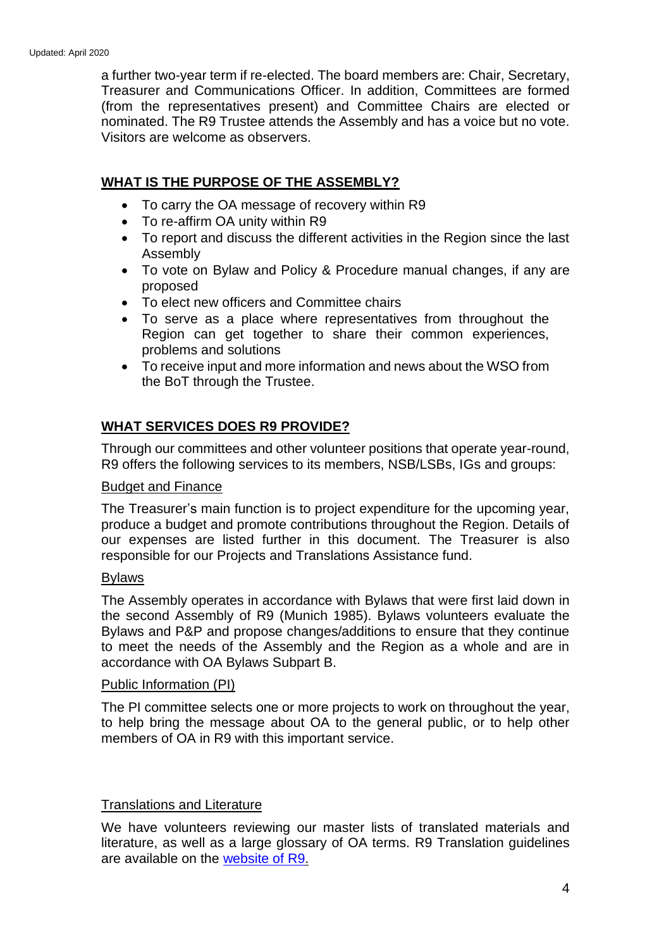a further two-year term if re-elected. The board members are: Chair, Secretary, Treasurer and Communications Officer. In addition, Committees are formed (from the representatives present) and Committee Chairs are elected or nominated. The R9 Trustee attends the Assembly and has a voice but no vote. Visitors are welcome as observers.

### **WHAT IS THE PURPOSE OF THE ASSEMBLY?**

- To carry the OA message of recovery within R9
- To re-affirm OA unity within R9
- To report and discuss the different activities in the Region since the last Assembly
- To vote on Bylaw and Policy & Procedure manual changes, if any are proposed
- To elect new officers and Committee chairs
- To serve as a place where representatives from throughout the Region can get together to share their common experiences, problems and solutions
- To receive input and more information and news about the WSO from the BoT through the Trustee.

#### **WHAT SERVICES DOES R9 PROVIDE?**

Through our committees and other volunteer positions that operate year-round, R9 offers the following services to its members, NSB/LSBs, IGs and groups:

#### Budget and Finance

The Treasurer's main function is to project expenditure for the upcoming year, produce a budget and promote contributions throughout the Region. Details of our expenses are listed further in this document. The Treasurer is also responsible for our Projects and Translations Assistance fund.

#### Bylaws

The Assembly operates in accordance with Bylaws that were first laid down in the second Assembly of R9 (Munich 1985). Bylaws volunteers evaluate the Bylaws and P&P and propose changes/additions to ensure that they continue to meet the needs of the Assembly and the Region as a whole and are in accordance with OA Bylaws Subpart B.

#### Public Information (PI)

The PI committee selects one or more projects to work on throughout the year, to help bring the message about OA to the general public, or to help other members of OA in R9 with this important service.

#### Translations and Literature

We have volunteers reviewing our master lists of translated materials and literature, as well as a large glossary of OA terms. R9 Translation guidelines are available on the [website of R9.](http://www.oaregion9.org/service/translation-of-oa-literature/)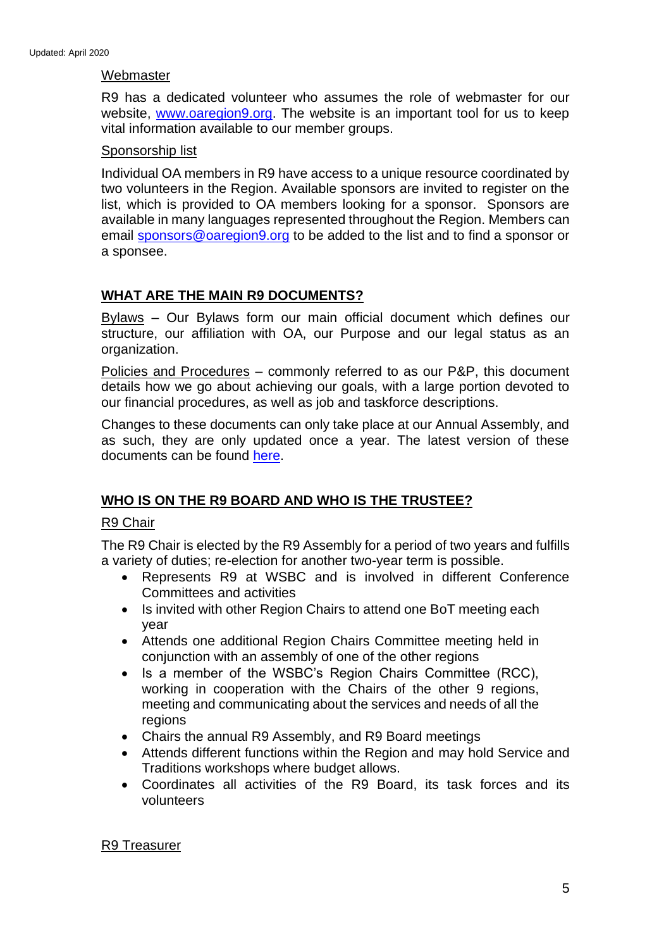#### **Webmaster**

R9 has a dedicated volunteer who assumes the role of webmaster for our website, [www.oaregion9.org.](http://www.oaregion9.org/) The website is an important tool for us to keep vital information available to our member groups.

#### Sponsorship list

Individual OA members in R9 have access to a unique resource coordinated by two volunteers in the Region. Available sponsors are invited to register on the list, which is provided to OA members looking for a sponsor. Sponsors are available in many languages represented throughout the Region. Members can email [sponsors@oaregion9.org](mailto:sponsors@oaregion9.org) to be added to the list and to find a sponsor or a sponsee.

# **WHAT ARE THE MAIN R9 DOCUMENTS?**

Bylaws – Our Bylaws form our main official document which defines our structure, our affiliation with OA, our Purpose and our legal status as an organization.

Policies and Procedures – commonly referred to as our P&P, this document details how we go about achieving our goals, with a large portion devoted to our financial procedures, as well as job and taskforce descriptions.

Changes to these documents can only take place at our Annual Assembly, and as such, they are only updated once a year. The latest version of these documents can be found [here.](http://www.oaregion9.org/service/bylaws-committee/)

# **WHO IS ON THE R9 BOARD AND WHO IS THE TRUSTEE?**

#### R9 Chair

The R9 Chair is elected by the R9 Assembly for a period of two years and fulfills a variety of duties; re-election for another two-year term is possible.

- Represents R9 at WSBC and is involved in different Conference Committees and activities
- Is invited with other Region Chairs to attend one BoT meeting each year
- Attends one additional Region Chairs Committee meeting held in conjunction with an assembly of one of the other regions
- Is a member of the WSBC's Region Chairs Committee (RCC), working in cooperation with the Chairs of the other 9 regions, meeting and communicating about the services and needs of all the regions
- Chairs the annual R9 Assembly, and R9 Board meetings
- Attends different functions within the Region and may hold Service and Traditions workshops where budget allows.
- Coordinates all activities of the R9 Board, its task forces and its volunteers

#### R9 Treasurer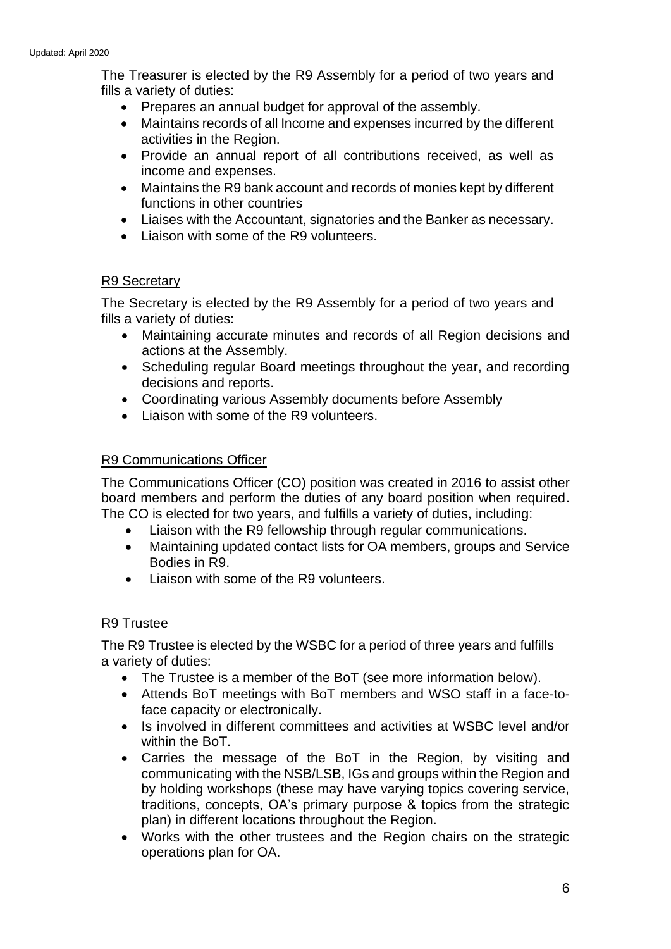The Treasurer is elected by the R9 Assembly for a period of two years and fills a variety of duties:

- Prepares an annual budget for approval of the assembly.
- Maintains records of all Income and expenses incurred by the different activities in the Region.
- Provide an annual report of all contributions received, as well as income and expenses.
- Maintains the R9 bank account and records of monies kept by different functions in other countries
- Liaises with the Accountant, signatories and the Banker as necessary.
- Liaison with some of the R9 volunteers.

#### R9 Secretary

The Secretary is elected by the R9 Assembly for a period of two years and fills a variety of duties:

- Maintaining accurate minutes and records of all Region decisions and actions at the Assembly.
- Scheduling regular Board meetings throughout the year, and recording decisions and reports.
- Coordinating various Assembly documents before Assembly
- Liaison with some of the R9 volunteers.

#### R9 Communications Officer

The Communications Officer (CO) position was created in 2016 to assist other board members and perform the duties of any board position when required. The CO is elected for two years, and fulfills a variety of duties, including:

- Liaison with the R9 fellowship through regular communications.
- Maintaining updated contact lists for OA members, groups and Service Bodies in R9.
- Liaison with some of the R9 volunteers.

#### R9 Trustee

The R9 Trustee is elected by the WSBC for a period of three years and fulfills a variety of duties:

- The Trustee is a member of the BoT (see more information below).
- Attends BoT meetings with BoT members and WSO staff in a face-toface capacity or electronically.
- Is involved in different committees and activities at WSBC level and/or within the BoT.
- Carries the message of the BoT in the Region, by visiting and communicating with the NSB/LSB, IGs and groups within the Region and by holding workshops (these may have varying topics covering service, traditions, concepts, OA's primary purpose & topics from the strategic plan) in different locations throughout the Region.
- Works with the other trustees and the Region chairs on the strategic operations plan for OA.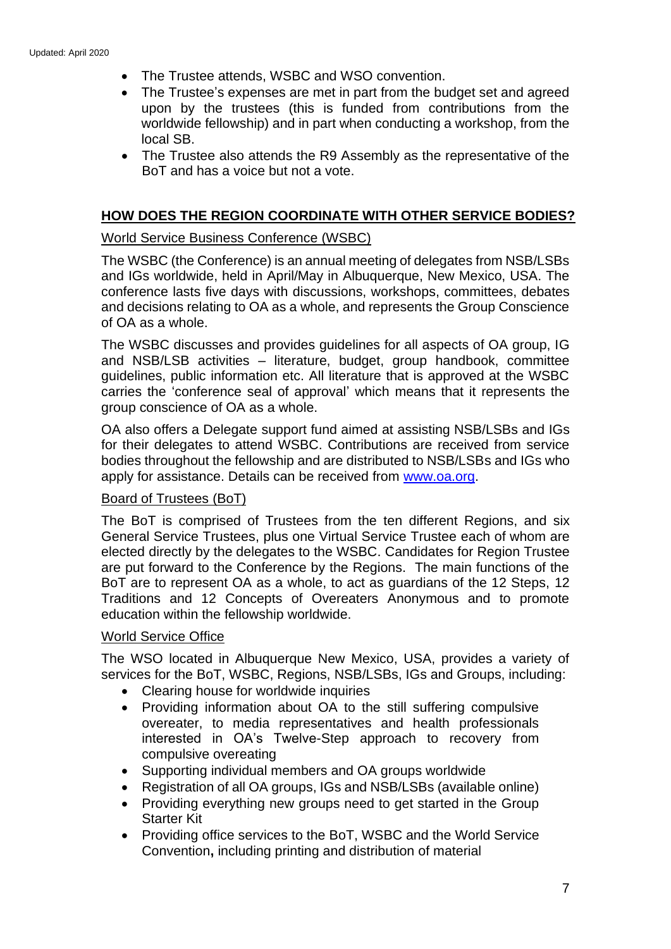- The Trustee attends, WSBC and WSO convention.
- The Trustee's expenses are met in part from the budget set and agreed upon by the trustees (this is funded from contributions from the worldwide fellowship) and in part when conducting a workshop, from the local SB.
- The Trustee also attends the R9 Assembly as the representative of the BoT and has a voice but not a vote.

# **HOW DOES THE REGION COORDINATE WITH OTHER SERVICE BODIES?**

# World Service Business Conference (WSBC)

The WSBC (the Conference) is an annual meeting of delegates from NSB/LSBs and IGs worldwide, held in April/May in Albuquerque, New Mexico, USA. The conference lasts five days with discussions, workshops, committees, debates and decisions relating to OA as a whole, and represents the Group Conscience of OA as a whole.

The WSBC discusses and provides guidelines for all aspects of OA group, IG and NSB/LSB activities – literature, budget, group handbook, committee guidelines, public information etc. All literature that is approved at the WSBC carries the 'conference seal of approval' which means that it represents the group conscience of OA as a whole.

OA also offers a Delegate support fund aimed at assisting NSB/LSBs and IGs for their delegates to attend WSBC. Contributions are received from service bodies throughout the fellowship and are distributed to NSB/LSBs and IGs who apply for assistance. Details can be received from [www.oa.org.](http://www.oa.org/)

#### Board of Trustees (BoT)

The BoT is comprised of Trustees from the ten different Regions, and six General Service Trustees, plus one Virtual Service Trustee each of whom are elected directly by the delegates to the WSBC. Candidates for Region Trustee are put forward to the Conference by the Regions. The main functions of the BoT are to represent OA as a whole, to act as guardians of the 12 Steps, 12 Traditions and 12 Concepts of Overeaters Anonymous and to promote education within the fellowship worldwide.

#### World Service Office

The WSO located in Albuquerque New Mexico, USA, provides a variety of services for the BoT, WSBC, Regions, NSB/LSBs, IGs and Groups, including:

- Clearing house for worldwide inquiries
- Providing information about OA to the still suffering compulsive overeater, to media representatives and health professionals interested in OA's Twelve-Step approach to recovery from compulsive overeating
- Supporting individual members and OA groups worldwide
- Registration of all OA groups, IGs and NSB/LSBs (available online)
- Providing everything new groups need to get started in the Group Starter Kit
- Providing office services to the BoT, WSBC and the World Service Convention**,** including printing and distribution of material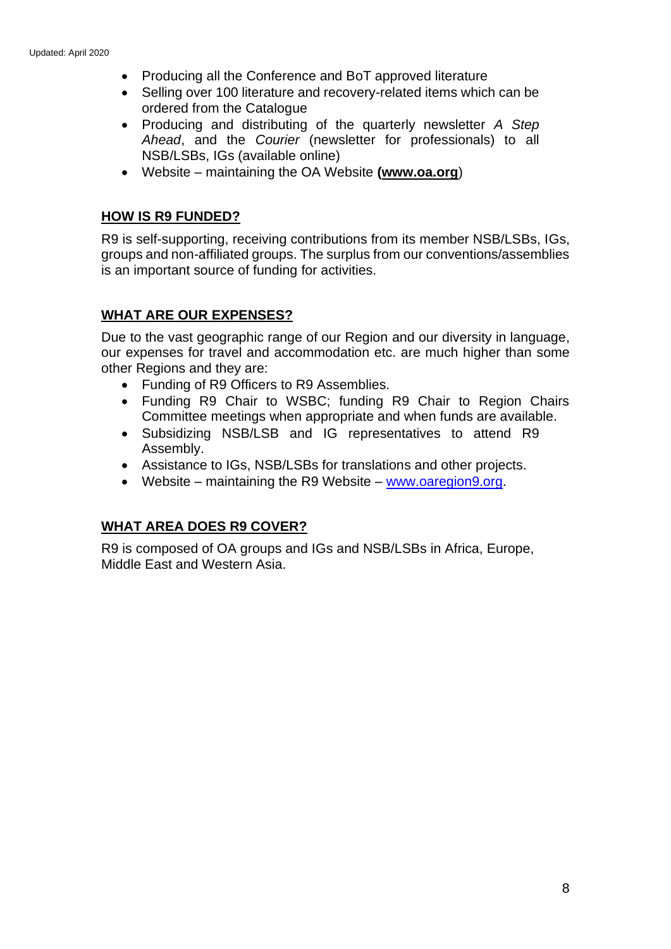- Producing all the Conference and BoT approved literature
- Selling over 100 literature and recovery-related items which can be ordered from the Catalogue
- Producing and distributing of the quarterly newsletter *A Step Ahead*, and the *Courier* (newsletter for professionals) to all NSB/LSBs, IGs (available online)
- Website maintaining the OA Website **[\(www.oa.org](http://www.oa.org/)**)

# **HOW IS R9 FUNDED?**

R9 is self-supporting, receiving contributions from its member NSB/LSBs, IGs, groups and non-affiliated groups. The surplus from our conventions/assemblies is an important source of funding for activities.

# **WHAT ARE OUR EXPENSES?**

Due to the vast geographic range of our Region and our diversity in language, our expenses for travel and accommodation etc. are much higher than some other Regions and they are:

- Funding of R9 Officers to R9 Assemblies.
- Funding R9 Chair to WSBC; funding R9 Chair to Region Chairs Committee meetings when appropriate and when funds are available.
- Subsidizing NSB/LSB and IG representatives to attend R9 Assembly.
- Assistance to IGs, NSB/LSBs for translations and other projects.
- Website maintaining the R9 Website [www.oaregion9.org.](http://www.oaregion9.org/)

# **WHAT AREA DOES R9 COVER?**

R9 is composed of OA groups and IGs and NSB/LSBs in Africa, Europe, Middle East and Western Asia.